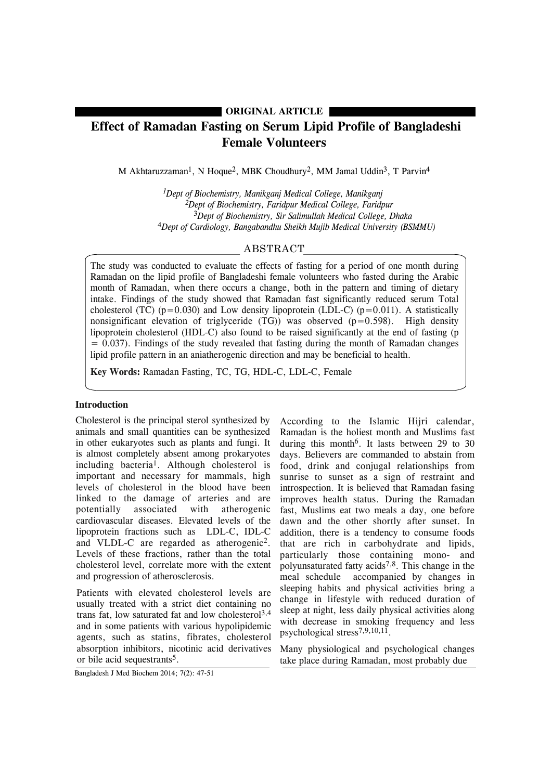# **ORIGINAL ARTICLE**

# **Effect of Ramadan Fasting on Serum Lipid Profile of Bangladeshi Female Volunteers**

M Akhtaruzzaman<sup>1</sup>, N Hoque<sup>2</sup>, MBK Choudhury<sup>2</sup>, MM Jamal Uddin<sup>3</sup>, T Parvin<sup>4</sup>

*1Dept of Biochemistry, Manikganj Medical College, Manikganj 2Dept of Biochemistry, Faridpur Medical College, Faridpur* 3*Dept of Biochemistry, Sir Salimullah Medical College, Dhaka* 4*Dept of Cardiology, Bangabandhu Sheikh Mujib Medical University (BSMMU)*

# ABSTRACT

The study was conducted to evaluate the effects of fasting for a period of one month during Ramadan on the lipid profile of Bangladeshi female volunteers who fasted during the Arabic month of Ramadan, when there occurs a change, both in the pattern and timing of dietary intake. Findings of the study showed that Ramadan fast significantly reduced serum Total cholesterol (TC) ( $p=0.030$ ) and Low density lipoprotein (LDL-C) ( $p=0.011$ ). A statistically nonsignificant elevation of triglyceride  $(TG)$ ) was observed  $(p=0.598)$ . High density lipoprotein cholesterol (HDL-C) also found to be raised significantly at the end of fasting (p  $= 0.037$ ). Findings of the study revealed that fasting during the month of Ramadan changes lipid profile pattern in an aniatherogenic direction and may be beneficial to health.

**Key Words:** Ramadan Fasting, TC, TG, HDL-C, LDL-C, Female

## **Introduction**

Cholesterol is the principal sterol synthesized by animals and small quantities can be synthesized in other eukaryotes such as plants and fungi. It is almost completely absent among prokaryotes including bacteria<sup>1</sup>. Although cholesterol is important and necessary for mammals, high levels of cholesterol in the blood have been linked to the damage of arteries and are potentially associated with atherogenic cardiovascular diseases. Elevated levels of the lipoprotein fractions such as LDL-C, IDL-C and VLDL-C are regarded as atherogenic2. Levels of these fractions, rather than the total cholesterol level, correlate more with the extent and progression of atherosclerosis.

Patients with elevated cholesterol levels are usually treated with a strict diet containing no trans fat, low saturated fat and low cholesterol 3,4 and in some patients with various hypolipidemic agents, such as statins, fibrates, cholesterol absorption inhibitors, nicotinic acid derivatives or bile acid sequestrants5.

According to the Islamic Hijri calendar, Ramadan is the holiest month and Muslims fast during this month<sup>6</sup>. It lasts between 29 to 30 days. Believers are commanded to abstain from food, drink and conjugal relationships from sunrise to sunset as a sign of restraint and introspection. It is believed that Ramadan fasing improves health status. During the Ramadan fast, Muslims eat two meals a day, one before dawn and the other shortly after sunset. In addition, there is a tendency to consume foods that are rich in carbohydrate and lipids, particularly those containing mono- and polyunsaturated fatty  $acids^{7,8}$ . This change in the meal schedule accompanied by changes in sleeping habits and physical activities bring a change in lifestyle with reduced duration of sleep at night, less daily physical activities along with decrease in smoking frequency and less psychological stress7,9,10,11.

Many physiological and psychological changes take place during Ramadan, most probably due

Bangladesh J Med Biochem 2014; 7(2): 47-51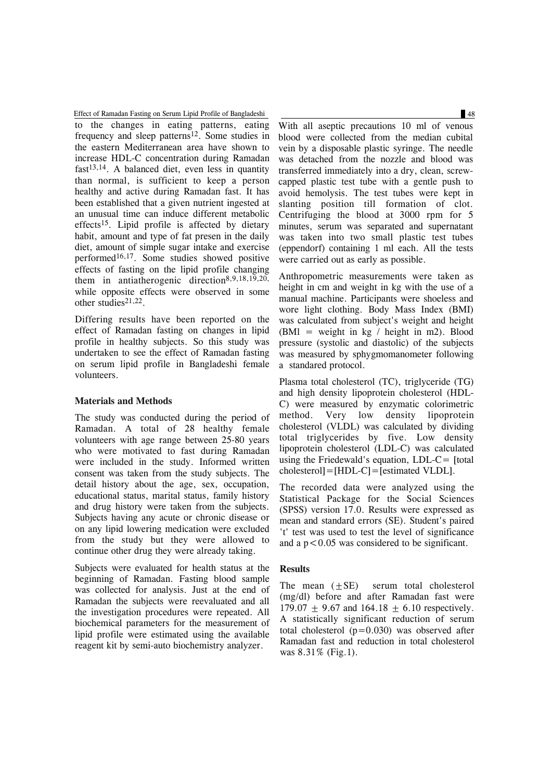to the changes in eating patterns, eating frequency and sleep patterns<sup>12</sup>. Some studies in the eastern Mediterranean area have shown to increase HDL-C concentration during Ramadan fast<sup>13,14</sup>. A balanced diet, even less in quantity than normal, is sufficient to keep a person healthy and active during Ramadan fast. It has been established that a given nutrient ingested at an unusual time can induce different metabolic effects15. Lipid profile is affected by dietary habit, amount and type of fat presen in the daily diet, amount of simple sugar intake and exercise performed16,17. Some studies showed positive effects of fasting on the lipid profile changing them in antiatherogenic direction8,9,18,19,20, while opposite effects were observed in some other studies<sup>21,22</sup>. Effect of Ramadan Fasting on Serum Lipid Profile of Bangladeshi 48

Differing results have been reported on the effect of Ramadan fasting on changes in lipid profile in healthy subjects. So this study was undertaken to see the effect of Ramadan fasting on serum lipid profile in Bangladeshi female volunteers.

### **Materials and Methods**

The study was conducted during the period of Ramadan. A total of 28 healthy female volunteers with age range between 25-80 years who were motivated to fast during Ramadan were included in the study. Informed written consent was taken from the study subjects. The detail history about the age, sex, occupation, educational status, marital status, family history and drug history were taken from the subjects. Subjects having any acute or chronic disease or on any lipid lowering medication were excluded from the study but they were allowed to continue other drug they were already taking.

Subjects were evaluated for health status at the beginning of Ramadan. Fasting blood sample was collected for analysis. Just at the end of Ramadan the subjects were reevaluated and all the investigation procedures were repeated. All biochemical parameters for the measurement of lipid profile were estimated using the available reagent kit by semi-auto biochemistry analyzer.

With all aseptic precautions 10 ml of venous blood were collected from the median cubital vein by a disposable plastic syringe. The needle was detached from the nozzle and blood was transferred immediately into a dry, clean, screwcapped plastic test tube with a gentle push to avoid hemolysis. The test tubes were kept in slanting position till formation of clot. Centrifuging the blood at 3000 rpm for 5 minutes, serum was separated and supernatant was taken into two small plastic test tubes (eppendorf) containing 1 ml each. All the tests were carried out as early as possible.

Anthropometric measurements were taken as height in cm and weight in kg with the use of a manual machine. Participants were shoeless and wore light clothing. Body Mass Index (BMI) was calculated from subject's weight and height (BMI = weight in  $kg / height$  in m2). Blood pressure (systolic and diastolic) of the subjects was measured by sphygmomanometer following a standared protocol.

Plasma total cholesterol (TC), triglyceride (TG) and high density lipoprotein cholesterol (HDL-C) were measured by enzymatic colorimetric method. Very low density lipoprotein cholesterol (VLDL) was calculated by dividing total triglycerides by five. Low density lipoprotein cholesterol (LDL-C) was calculated using the Friedewald's equation, LDL-C= [total cholesterol]=[HDL-C]=[estimated VLDL].

The recorded data were analyzed using the Statistical Package for the Social Sciences (SPSS) version 17.0. Results were expressed as mean and standard errors (SE). Student's paired 't' test was used to test the level of significance and a  $p < 0.05$  was considered to be significant.

#### **Results**

The mean  $(+SE)$  serum total cholesterol (mg/dl) before and after Ramadan fast were  $179.07 + 9.67$  and  $164.18 + 6.10$  respectively. A statistically significant reduction of serum total cholesterol  $(p=0.030)$  was observed after Ramadan fast and reduction in total cholesterol was 8.31% (Fig.1).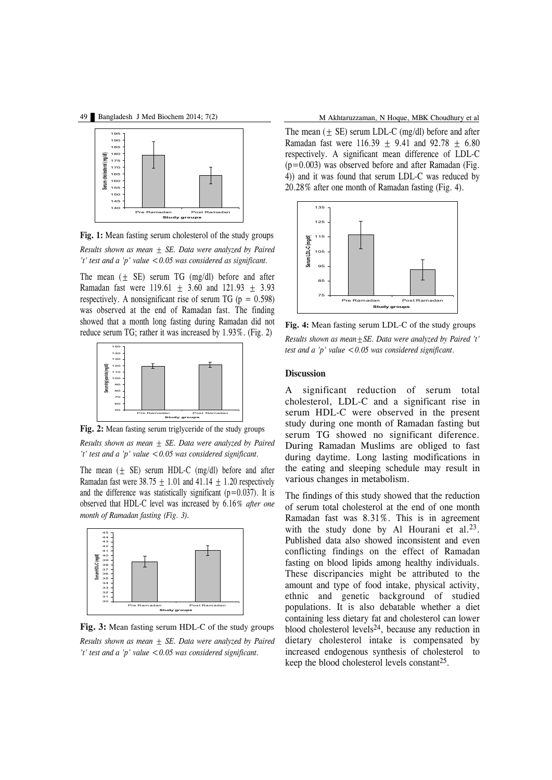

**Fig. 1:** Mean fasting serum cholesterol of the study groups *Results shown as mean ± SE. Data were analyzed by Paired 't' test and a 'p' value <0.05 was considered as significant.*

The mean  $(\pm$  SE) serum TG (mg/dl) before and after Ramadan fast were  $119.61 \pm 3.60$  and  $121.93 \pm 3.93$ respectively. A nonsignificant rise of serum TG ( $p = 0.598$ ) was observed at the end of Ramadan fast. The finding showed that a month long fasting during Ramadan did not reduce serum TG; rather it was increased by 1.93%. (Fig. 2)



**Fig. 2:** Mean fasting serum triglyceride of the study groups

*Results shown as mean ± SE. Data were analyzed by Paired 't' test and a 'p' value <0.05 was considered significant.*

The mean  $(+$  SE) serum HDL-C (mg/dl) before and after Ramadan fast were  $38.75 \pm 1.01$  and  $41.14 \pm 1.20$  respectively and the difference was statistically significant  $(p=0.037)$ . It is observed that HDL-C level was increased by 6.16*% after one month of Ramadan fasting (Fig. 3).*



**Fig. 3:** Mean fasting serum HDL-C of the study groups *Results shown as mean ± SE. Data were analyzed by Paired 't' test and a 'p' value <0.05 was considered significant.*

The mean  $(\pm \text{ SE})$  serum LDL-C (mg/dl) before and after Ramadan fast were  $116.39 + 9.41$  and  $92.78 + 6.80$ respectively. A significant mean difference of LDL-C  $(p=0.003)$  was observed before and after Ramadan (Fig. 4)) and it was found that serum LDL-C was reduced by 20.28% after one month of Ramadan fasting (Fig. 4).



**Fig. 4:** Mean fasting serum LDL-C of the study groups *Results shown as mean±SE. Data were analyzed by Paired 't' test and a 'p' value <0.05 was considered significant.*

#### **Discussion**

A significant reduction of serum total cholesterol, LDL-C and a significant rise in serum HDL-C were observed in the present study during one month of Ramadan fasting but serum TG showed no significant diference. During Ramadan Muslims are obliged to fast during daytime. Long lasting modifications in the eating and sleeping schedule may result in various changes in metabolism.

The findings of this study showed that the reduction of serum total cholesterol at the end of one month Ramadan fast was 8.31%. This is in agreement with the study done by Al Hourani et al. $23$ . Published data also showed inconsistent and even conflicting findings on the effect of Ramadan fasting on blood lipids among healthy individuals. These discripancies might be attributed to the amount and type of food intake, physical activity, ethnic and genetic background of studied populations. It is also debatable whether a diet containing less dietary fat and cholesterol can lower blood cholesterol levels<sup>24</sup>, because any reduction in dietary cholesterol intake is compensated by increased endogenous synthesis of cholesterol to keep the blood cholesterol levels constant 25.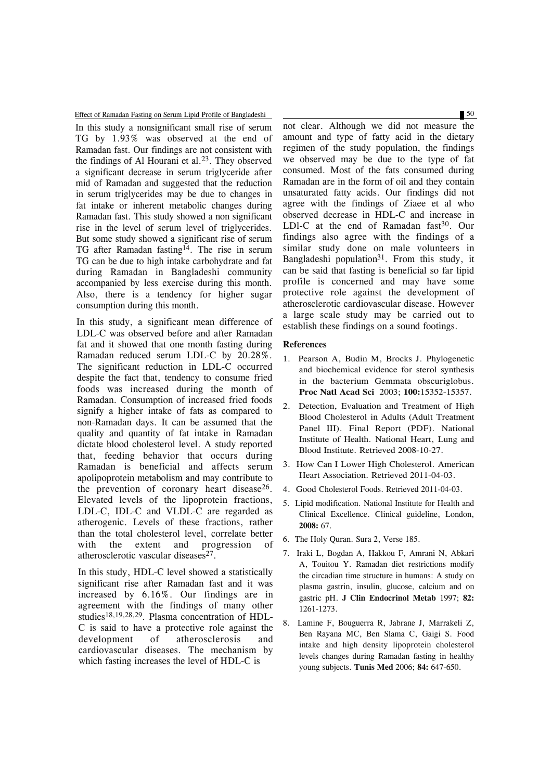Effect of Ramadan Fasting on Serum Lipid Profile of Bangladeshi 50

In this study a nonsignificant small rise of serum TG by 1.93% was observed at the end of Ramadan fast. Our findings are not consistent with the findings of Al Hourani et al.23. They observed a significant decrease in serum triglyceride after mid of Ramadan and suggested that the reduction in serum triglycerides may be due to changes in fat intake or inherent metabolic changes during Ramadan fast. This study showed a non significant rise in the level of serum level of triglycerides. But some study showed a significant rise of serum TG after Ramadan fasting<sup>14</sup>. The rise in serum TG can be due to high intake carbohydrate and fat during Ramadan in Bangladeshi community accompanied by less exercise during this month. Also, there is a tendency for higher sugar consumption during this month.

In this study, a significant mean difference of LDL-C was observed before and after Ramadan fat and it showed that one month fasting during Ramadan reduced serum LDL-C by 20.28%. The significant reduction in LDL-C occurred despite the fact that, tendency to consume fried foods was increased during the month of Ramadan. Consumption of increased fried foods signify a higher intake of fats as compared to non-Ramadan days. It can be assumed that the quality and quantity of fat intake in Ramadan dictate blood cholesterol level. A study reported that, feeding behavior that occurs during Ramadan is beneficial and affects serum apolipoprotein metabolism and may contribute to the prevention of coronary heart disease<sup>26</sup>. Elevated levels of the lipoprotein fractions, LDL-C, IDL-C and VLDL-C are regarded as atherogenic. Levels of these fractions, rather than the total cholesterol level, correlate better with the extent and progression of atherosclerotic vascular diseases<sup>27</sup>.

In this study, HDL-C level showed a statistically significant rise after Ramadan fast and it was increased by 6.16%. Our findings are in agreement with the findings of many other studies18,19,28,29. Plasma concentration of HDL-C is said to have a protective role against the development of atherosclerosis and cardiovascular diseases. The mechanism by which fasting increases the level of HDL-C is

not clear. Although we did not measure the amount and type of fatty acid in the dietary regimen of the study population, the findings we observed may be due to the type of fat consumed. Most of the fats consumed during Ramadan are in the form of oil and they contain unsaturated fatty acids. Our findings did not agree with the findings of Ziaee et al who observed decrease in HDL-C and increase in LDI-C at the end of Ramadan fast $30$ . Our findings also agree with the findings of a similar study done on male volunteers in Bangladeshi population<sup>31</sup>. From this study, it can be said that fasting is beneficial so far lipid profile is concerned and may have some protective role against the development of atherosclerotic cardiovascular disease. However a large scale study may be carried out to establish these findings on a sound footings.

#### **References**

- 1. Pearson A, Budin M, Brocks J. Phylogenetic and biochemical evidence for sterol synthesis in the bacterium Gemmata obscuriglobus. **Proc Natl Acad Sci** 2003; **100:**15352-15357.
- 2. Detection, Evaluation and Treatment of High Blood Cholesterol in Adults (Adult Treatment Panel III). Final Report (PDF). National Institute of Health. National Heart, Lung and Blood Institute. Retrieved 2008-10-27.
- 3. How Can I Lower High Cholesterol. American Heart Association. Retrieved 2011-04-03.
- 4. Good Cholesterol Foods. Retrieved 2011-04-03.
- 5. Lipid modification. National Institute for Health and Clinical Excellence. Clinical guideline, London, **2008:** 67.
- 6. The Holy Quran. Sura 2, Verse 185.
- 7. Iraki L, Bogdan A, Hakkou F, Amrani N, Abkari A, Touitou Y. Ramadan diet restrictions modify the circadian time structure in humans: A study on plasma gastrin, insulin, glucose, calcium and on gastric pH. **J Clin Endocrinol Metab** 1997; **82:** 1261-1273.
- 8. Lamine F, Bouguerra R, Jabrane J, Marrakeli Z, Ben Rayana MC, Ben Slama C, Gaigi S. Food intake and high density lipoprotein cholesterol levels changes during Ramadan fasting in healthy young subjects. **Tunis Med** 2006; **84:** 647-650.